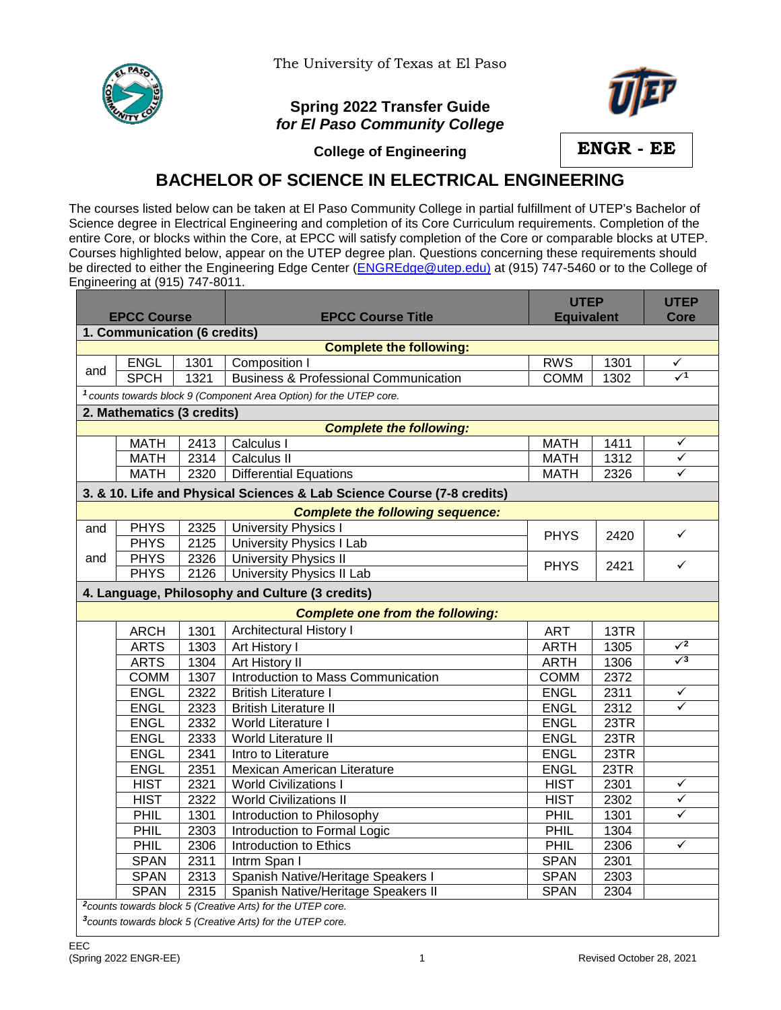

The University of Texas at El Paso

## **Spring 2022 Transfer Guide** *for El Paso Community College*



**College of Engineering**

**ENGR - EE**

## **BACHELOR OF SCIENCE IN ELECTRICAL ENGINEERING**

The courses listed below can be taken at El Paso Community College in partial fulfillment of UTEP's Bachelor of Science degree in Electrical Engineering and completion of its Core Curriculum requirements. Completion of the entire Core, or blocks within the Core, at EPCC will satisfy completion of the Core or comparable blocks at UTEP. Courses highlighted below, appear on the UTEP degree plan. Questions concerning these requirements should be directed to either the Engineering Edge Center [\(ENGREdge@utep.edu\)](mailto:ENGREdge@utep.edu) at (915) 747-5460 or to the College of Engineering at (915) 747-8011.

| <b>EPCC Course</b>                                                     |             |      | <b>EPCC Course Title</b>                                                       | <b>UTEP</b><br><b>Equivalent</b> |      | <b>UTEP</b><br><b>Core</b> |  |  |  |  |  |  |
|------------------------------------------------------------------------|-------------|------|--------------------------------------------------------------------------------|----------------------------------|------|----------------------------|--|--|--|--|--|--|
| 1. Communication (6 credits)                                           |             |      |                                                                                |                                  |      |                            |  |  |  |  |  |  |
| <b>Complete the following:</b>                                         |             |      |                                                                                |                                  |      |                            |  |  |  |  |  |  |
|                                                                        | <b>ENGL</b> | 1301 | Composition I                                                                  | <b>RWS</b>                       | 1301 | ✓                          |  |  |  |  |  |  |
| and                                                                    | <b>SPCH</b> | 1321 | <b>Business &amp; Professional Communication</b>                               | <b>COMM</b>                      | 1302 | $\sqrt{1}$                 |  |  |  |  |  |  |
|                                                                        |             |      | <sup>1</sup> counts towards block 9 (Component Area Option) for the UTEP core. |                                  |      |                            |  |  |  |  |  |  |
| 2. Mathematics (3 credits)                                             |             |      |                                                                                |                                  |      |                            |  |  |  |  |  |  |
| <b>Complete the following:</b>                                         |             |      |                                                                                |                                  |      |                            |  |  |  |  |  |  |
|                                                                        | <b>MATH</b> | 2413 | Calculus I                                                                     | <b>MATH</b>                      | 1411 | ✓                          |  |  |  |  |  |  |
|                                                                        | <b>MATH</b> | 2314 | Calculus II                                                                    | <b>MATH</b>                      | 1312 | ✓                          |  |  |  |  |  |  |
|                                                                        | <b>MATH</b> | 2320 | <b>Differential Equations</b>                                                  | <b>MATH</b>                      | 2326 | $\checkmark$               |  |  |  |  |  |  |
| 3. & 10. Life and Physical Sciences & Lab Science Course (7-8 credits) |             |      |                                                                                |                                  |      |                            |  |  |  |  |  |  |
| <b>Complete the following sequence:</b>                                |             |      |                                                                                |                                  |      |                            |  |  |  |  |  |  |
| and                                                                    | <b>PHYS</b> | 2325 | University Physics I                                                           | <b>PHYS</b>                      | 2420 | $\checkmark$               |  |  |  |  |  |  |
|                                                                        | <b>PHYS</b> | 2125 | <b>University Physics I Lab</b>                                                |                                  |      |                            |  |  |  |  |  |  |
| and                                                                    | <b>PHYS</b> | 2326 | <b>University Physics II</b>                                                   | <b>PHYS</b>                      | 2421 | ✓                          |  |  |  |  |  |  |
|                                                                        | <b>PHYS</b> | 2126 | <b>University Physics II Lab</b>                                               |                                  |      |                            |  |  |  |  |  |  |
|                                                                        |             |      | 4. Language, Philosophy and Culture (3 credits)                                |                                  |      |                            |  |  |  |  |  |  |
|                                                                        |             |      | <b>Complete one from the following:</b>                                        |                                  |      |                            |  |  |  |  |  |  |
|                                                                        | <b>ARCH</b> | 1301 | <b>Architectural History I</b>                                                 | <b>ART</b>                       | 13TR |                            |  |  |  |  |  |  |
|                                                                        | <b>ARTS</b> | 1303 | Art History I                                                                  | <b>ARTH</b>                      | 1305 | $\sqrt{2}$                 |  |  |  |  |  |  |
|                                                                        | <b>ARTS</b> | 1304 | <b>Art History II</b>                                                          | <b>ARTH</b>                      | 1306 | $\sqrt{3}$                 |  |  |  |  |  |  |
|                                                                        | <b>COMM</b> | 1307 | Introduction to Mass Communication                                             | <b>COMM</b>                      | 2372 |                            |  |  |  |  |  |  |
|                                                                        | <b>ENGL</b> | 2322 | <b>British Literature I</b>                                                    | <b>ENGL</b>                      | 2311 | $\checkmark$               |  |  |  |  |  |  |
|                                                                        | <b>ENGL</b> | 2323 | <b>British Literature II</b>                                                   | <b>ENGL</b>                      | 2312 | ✓                          |  |  |  |  |  |  |
|                                                                        | <b>ENGL</b> | 2332 | World Literature I                                                             | <b>ENGL</b>                      | 23TR |                            |  |  |  |  |  |  |
|                                                                        | <b>ENGL</b> | 2333 | <b>World Literature II</b>                                                     | <b>ENGL</b>                      | 23TR |                            |  |  |  |  |  |  |
|                                                                        | <b>ENGL</b> | 2341 | Intro to Literature                                                            | <b>ENGL</b>                      | 23TR |                            |  |  |  |  |  |  |
|                                                                        | <b>ENGL</b> | 2351 | Mexican American Literature                                                    | <b>ENGL</b>                      | 23TR |                            |  |  |  |  |  |  |
|                                                                        | <b>HIST</b> | 2321 | <b>World Civilizations I</b>                                                   | <b>HIST</b>                      | 2301 | ✓                          |  |  |  |  |  |  |
|                                                                        | <b>HIST</b> | 2322 | <b>World Civilizations II</b>                                                  | <b>HIST</b>                      | 2302 | $\checkmark$               |  |  |  |  |  |  |
|                                                                        | PHIL        | 1301 | Introduction to Philosophy                                                     | PHIL                             | 1301 | ✓                          |  |  |  |  |  |  |
|                                                                        | PHIL        | 2303 | Introduction to Formal Logic                                                   | PHIL                             | 1304 |                            |  |  |  |  |  |  |
|                                                                        | PHIL        | 2306 | <b>Introduction to Ethics</b>                                                  | PHIL                             | 2306 | ✓                          |  |  |  |  |  |  |
|                                                                        | <b>SPAN</b> | 2311 | Intrm Span I                                                                   | <b>SPAN</b>                      | 2301 |                            |  |  |  |  |  |  |
|                                                                        | <b>SPAN</b> | 2313 | Spanish Native/Heritage Speakers I                                             | <b>SPAN</b>                      | 2303 |                            |  |  |  |  |  |  |
|                                                                        | <b>SPAN</b> | 2315 | Spanish Native/Heritage Speakers II                                            | <b>SPAN</b>                      | 2304 |                            |  |  |  |  |  |  |
| <sup>2</sup> counts towards block 5 (Creative Arts) for the UTEP core. |             |      |                                                                                |                                  |      |                            |  |  |  |  |  |  |
| <sup>3</sup> counts towards block 5 (Creative Arts) for the UTEP core. |             |      |                                                                                |                                  |      |                            |  |  |  |  |  |  |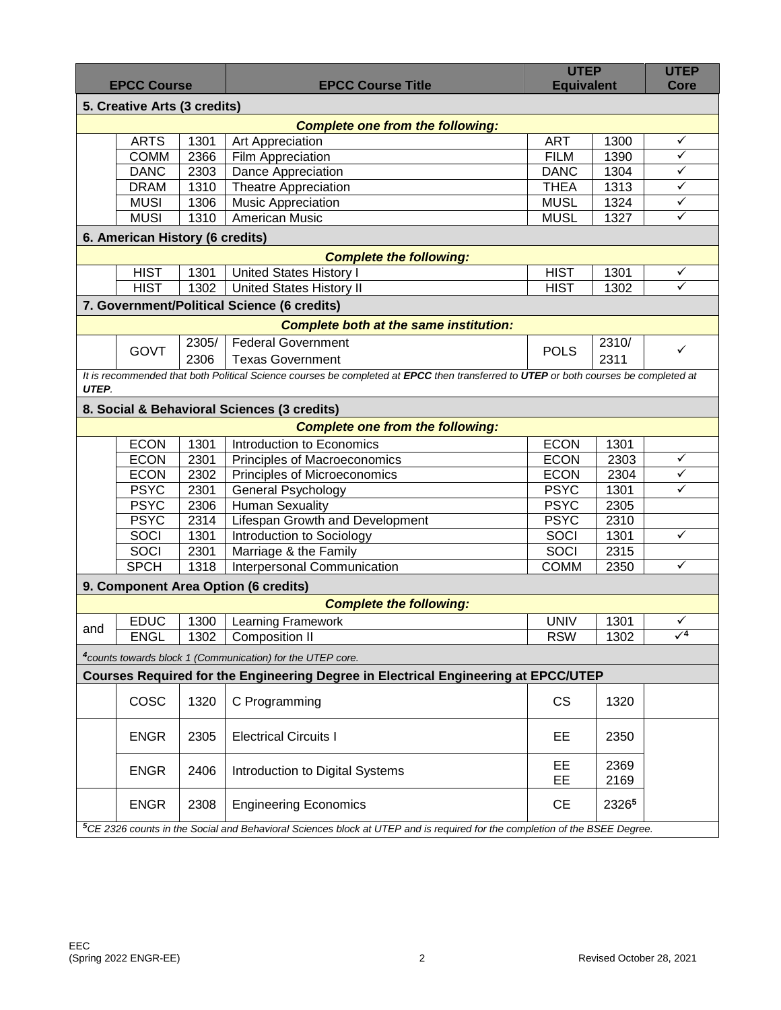| <b>EPCC Course</b>                            |                                                                                                                            |       | <b>EPCC Course Title</b>                                                                                                            | <b>UTEP</b><br><b>Equivalent</b> |       | <b>UTEP</b><br>Core     |  |  |  |  |  |  |
|-----------------------------------------------|----------------------------------------------------------------------------------------------------------------------------|-------|-------------------------------------------------------------------------------------------------------------------------------------|----------------------------------|-------|-------------------------|--|--|--|--|--|--|
| 5. Creative Arts (3 credits)                  |                                                                                                                            |       |                                                                                                                                     |                                  |       |                         |  |  |  |  |  |  |
| <b>Complete one from the following:</b>       |                                                                                                                            |       |                                                                                                                                     |                                  |       |                         |  |  |  |  |  |  |
|                                               | <b>ARTS</b>                                                                                                                | 1301  | Art Appreciation                                                                                                                    | <b>ART</b>                       | 1300  | $\checkmark$            |  |  |  |  |  |  |
|                                               | <b>COMM</b>                                                                                                                | 2366  | Film Appreciation                                                                                                                   | <b>FILM</b>                      | 1390  | $\checkmark$            |  |  |  |  |  |  |
|                                               | <b>DANC</b>                                                                                                                | 2303  | Dance Appreciation                                                                                                                  | <b>DANC</b>                      | 1304  | $\checkmark$            |  |  |  |  |  |  |
|                                               | <b>DRAM</b>                                                                                                                | 1310  | <b>Theatre Appreciation</b>                                                                                                         | <b>THEA</b>                      | 1313  | $\checkmark$            |  |  |  |  |  |  |
|                                               | <b>MUSI</b>                                                                                                                | 1306  | <b>Music Appreciation</b>                                                                                                           | <b>MUSL</b>                      | 1324  | $\checkmark$            |  |  |  |  |  |  |
|                                               | <b>MUSI</b>                                                                                                                | 1310  | American Music                                                                                                                      | <b>MUSL</b>                      | 1327  | $\checkmark$            |  |  |  |  |  |  |
| 6. American History (6 credits)               |                                                                                                                            |       |                                                                                                                                     |                                  |       |                         |  |  |  |  |  |  |
| <b>Complete the following:</b>                |                                                                                                                            |       |                                                                                                                                     |                                  |       |                         |  |  |  |  |  |  |
|                                               | <b>HIST</b>                                                                                                                | 1301  | United States History I                                                                                                             | <b>HIST</b>                      | 1301  | $\checkmark$            |  |  |  |  |  |  |
|                                               | <b>HIST</b>                                                                                                                | 1302  | <b>United States History II</b>                                                                                                     | <b>HIST</b>                      | 1302  | $\overline{\checkmark}$ |  |  |  |  |  |  |
|                                               |                                                                                                                            |       | 7. Government/Political Science (6 credits)                                                                                         |                                  |       |                         |  |  |  |  |  |  |
| <b>Complete both at the same institution:</b> |                                                                                                                            |       |                                                                                                                                     |                                  |       |                         |  |  |  |  |  |  |
|                                               |                                                                                                                            | 2305/ | <b>Federal Government</b>                                                                                                           |                                  | 2310/ |                         |  |  |  |  |  |  |
|                                               | <b>GOVT</b>                                                                                                                | 2306  | <b>Texas Government</b>                                                                                                             | <b>POLS</b>                      | 2311  | $\checkmark$            |  |  |  |  |  |  |
|                                               |                                                                                                                            |       | It is recommended that both Political Science courses be completed at EPCC then transferred to UTEP or both courses be completed at |                                  |       |                         |  |  |  |  |  |  |
| UTEP.                                         |                                                                                                                            |       |                                                                                                                                     |                                  |       |                         |  |  |  |  |  |  |
|                                               |                                                                                                                            |       | 8. Social & Behavioral Sciences (3 credits)                                                                                         |                                  |       |                         |  |  |  |  |  |  |
|                                               |                                                                                                                            |       | <b>Complete one from the following:</b>                                                                                             |                                  |       |                         |  |  |  |  |  |  |
|                                               | <b>ECON</b>                                                                                                                | 1301  | Introduction to Economics                                                                                                           | <b>ECON</b>                      | 1301  |                         |  |  |  |  |  |  |
|                                               | <b>ECON</b>                                                                                                                | 2301  | Principles of Macroeconomics                                                                                                        | <b>ECON</b>                      | 2303  | $\checkmark$            |  |  |  |  |  |  |
|                                               | <b>ECON</b>                                                                                                                | 2302  | Principles of Microeconomics                                                                                                        | <b>ECON</b>                      | 2304  | $\checkmark$            |  |  |  |  |  |  |
|                                               | <b>PSYC</b>                                                                                                                | 2301  | General Psychology                                                                                                                  | <b>PSYC</b>                      | 1301  | $\checkmark$            |  |  |  |  |  |  |
|                                               | <b>PSYC</b>                                                                                                                | 2306  | <b>Human Sexuality</b>                                                                                                              | <b>PSYC</b>                      | 2305  |                         |  |  |  |  |  |  |
|                                               | <b>PSYC</b>                                                                                                                | 2314  | Lifespan Growth and Development                                                                                                     | <b>PSYC</b>                      | 2310  |                         |  |  |  |  |  |  |
|                                               | SOCI                                                                                                                       | 1301  | Introduction to Sociology                                                                                                           | SOCI                             | 1301  | $\checkmark$            |  |  |  |  |  |  |
|                                               | SOCI                                                                                                                       | 2301  | Marriage & the Family                                                                                                               | SOCI                             | 2315  |                         |  |  |  |  |  |  |
|                                               | <b>SPCH</b>                                                                                                                | 1318  | <b>Interpersonal Communication</b>                                                                                                  | <b>COMM</b>                      | 2350  | $\checkmark$            |  |  |  |  |  |  |
|                                               |                                                                                                                            |       | 9. Component Area Option (6 credits)                                                                                                |                                  |       |                         |  |  |  |  |  |  |
|                                               |                                                                                                                            |       | <b>Complete the following:</b>                                                                                                      |                                  |       |                         |  |  |  |  |  |  |
|                                               | <b>EDUC</b>                                                                                                                | 1300  | Learning Framework                                                                                                                  | <b>UNIV</b>                      | 1301  | ✓                       |  |  |  |  |  |  |
| and                                           | ENGL                                                                                                                       | 1302  | Composition II                                                                                                                      | <b>RSW</b>                       | 1302  | $\sqrt{4}$              |  |  |  |  |  |  |
|                                               |                                                                                                                            |       | <sup>4</sup> counts towards block 1 (Communication) for the UTEP core.                                                              |                                  |       |                         |  |  |  |  |  |  |
|                                               |                                                                                                                            |       | Courses Required for the Engineering Degree in Electrical Engineering at EPCC/UTEP                                                  |                                  |       |                         |  |  |  |  |  |  |
|                                               | COSC                                                                                                                       | 1320  | C Programming                                                                                                                       | CS                               | 1320  |                         |  |  |  |  |  |  |
|                                               |                                                                                                                            |       |                                                                                                                                     |                                  |       |                         |  |  |  |  |  |  |
|                                               | <b>ENGR</b>                                                                                                                | 2305  | <b>Electrical Circuits I</b>                                                                                                        | EE.                              | 2350  |                         |  |  |  |  |  |  |
|                                               | <b>ENGR</b>                                                                                                                | 2406  | Introduction to Digital Systems                                                                                                     | EE                               | 2369  |                         |  |  |  |  |  |  |
|                                               |                                                                                                                            |       |                                                                                                                                     | EE                               | 2169  |                         |  |  |  |  |  |  |
|                                               | <b>ENGR</b>                                                                                                                | 2308  | <b>Engineering Economics</b>                                                                                                        | <b>CE</b>                        | 23265 |                         |  |  |  |  |  |  |
|                                               | 5CE 2326 counts in the Social and Behavioral Sciences block at UTEP and is required for the completion of the BSEE Degree. |       |                                                                                                                                     |                                  |       |                         |  |  |  |  |  |  |